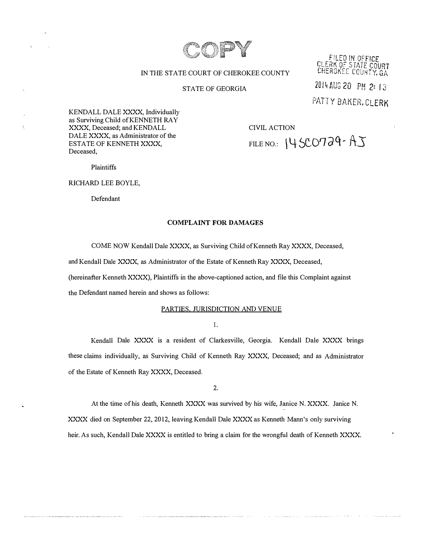

FILED IN OFFICE<br>CLERK OF STATE COURT<br>CHEROKEE COUNTY, GA

# IN THE STATE COURT OF CHEROKEE COUNTY

## STATE OF GEORGIA

201� AUG 20 PM 2: 13

PATTY BAKER. CLERK

KENDALL DALE XXXX, Individually as Surviving Child of KENNETH RAY XXXX, Deceased; and KENDALL DALE XXXX, as Administrator of the ESTATE OF KENNETH XXXX, Deceased,

CIVIL ACTION

FILE NO.: \ **4** StD0 *cl* q- AS

Plaintiffs

RICHARD LEE BOYLE,

Defendant

## **COMPLAINT FOR DAMAGES**

COME NOW Kendall Dale XXXX, as Surviving Child of Kenneth Ray XXXX, Deceased,

and Kendall Dale XXXX, as Administrator of the Estate of Kenneth Ray XXXX, Deceased,

(hereinafter Kenneth XXXX), Plaintiffs in the above-captioned action, and file this Complaint against

the Defendant named herein and shows as follows:

## PARTIES, JURISDICTION AND VENUE

I.

Kendall Dale XXXX is a resident of Clarkesville, Georgia. Kendall Dale XXXX brings these claims individually, as Surviving Child of Kenneth Ray XXXX, Deceased; and as Administrator of the Estate of Kenneth Ray XXXX, Deceased.

2.

At the time of his death, Kenneth XXXX was survived by his wife, Janice N. XXXX. Janice N. XXXX died on September 22, 2012, leaving Kendall Dale XXXX as Kenneth Mann's only surviving heir. As such, Kendall Dale XXXX is entitled to bring a claim for the wrongful death of Kenneth XXXX.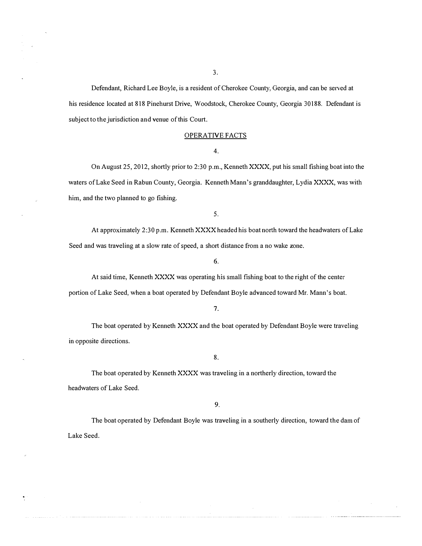3.

Defendant, Richard Lee Boyle, is a resident of Cherokee County, Georgia, and can be served at his residence located at 818 Pinehurst Drive, Woodstock, Cherokee County, Georgia 30188. Defendant is subject to the jurisdiction and venue of this Court.

#### OPERATIVE FACTS

4.

On August 25, 2012, shortly prior to 2:30 p.m., Kenneth XXXX, put his small fishing boat into the waters of Lake Seed in Rabun County, Georgia. Kenneth Mann's granddaughter, Lydia XXXX, was with him, and the two planned to go fishing.

5.

At approximately 2:30 p.m. Kenneth XXXX headed his boat north toward the headwaters of Lake Seed and was traveling at a slow rate of speed, a short distance from a no wake zone.

# 6.

At said time, Kenneth XXXX was operating his small fishing boat to the right of the center portion of Lake Seed, when a boat operated by Defendant Boyle advanced toward Mr. Mann's boat.

**7.** 

The boat operated by Kenneth XXXX and the boat operated by Defendant Boyle were traveling in opposite directions.

8.

The boat operated by Kenneth XXXX was traveling in a northerly direction, toward the headwaters of Lake Seed.

9.

The boat operated by Defendant Boyle was traveling in a southerly direction, toward the dam of Lake Seed.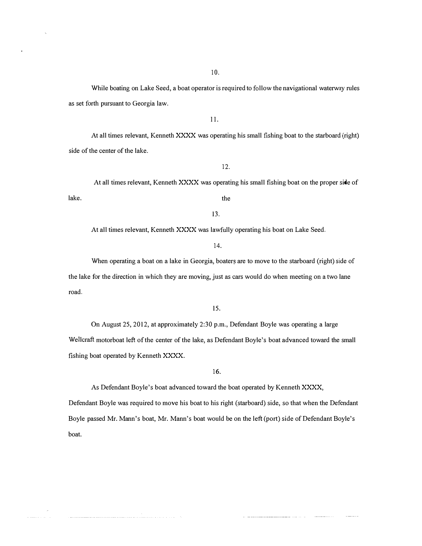10.

While boating on Lake Seed, a boat operator is required to follow the navigational waterway rules as set forth pursuant to Georgia law.

II.

At all times relevant, Kenneth XXXX was operating his small fishing boat to the starboard (right) side of the center of the lake.

12.

lake. At all times relevant, Kenneth XXXX was operating his small fishing boat on the proper side of the

13.

At all times relevant, Kenneth XXXX was lawfully operating his boat on Lake Seed.

14.

When operating a boat on a lake in Georgia, boaters are to move to the starboard (right) side of the lake for the direction in which they are moving, just as cars would do when meeting on a two lane road.

15.

On August 25, 2012, at approximately 2:30 p.m., Defendant Boyle was operating a large Wellcraft motorboat left of the center of the lake, as Defendant Boyle's boat advanced toward the small fishing boat operated by Kenneth XXXX.

16.

As Defendant Boyle's boat advanced toward the boat operated by Kenneth XXXX,

Defendant Boyle was required to move his boat to his right (starboard) side, so that when the Defendant Boyle passed Mr. Mann's boat, Mr. Mann's boat would be on the left (port) side of Defendant Boyle's boat.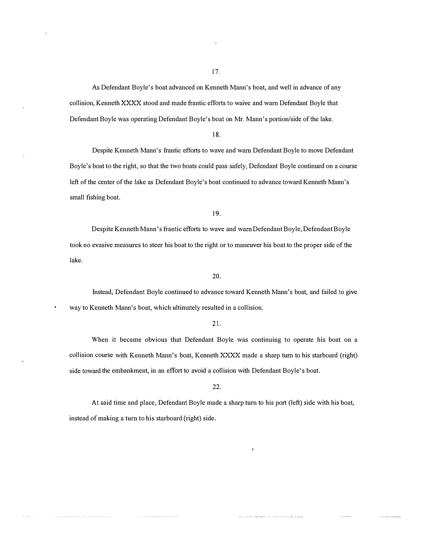17.

As Defendant Boyle's boat advanced on Kenneth Mann's boat, and well in advance of any collision, Kenneth XXXX stood and made frantic efforts to waive and warn Defendant Boyle that Defendant Boyle was operating Defendant Boyle's boat on Mr. Mann's portion/side of the lake.

İ

18.

Despite Kenneth Mann's frantic efforts to wave and warn Defendant Boyle to move Defendant Boyle's boat to the right, so that the two boats could pass safely, Defendant Boyle continued on a course left of the center of the lake as Defendant Boyle's boat continued to advance toward Kenneth Mann's small fishing boat.

19.

Despite Kenneth Mann's frantic efforts to wave and warn Defendant Boyle, Defendant Boyle took no evasive measures to steer his boat to the right or to maneuver his boat to the proper side of the lake.

#### 20.

Instead, Defendant Boyle continued to advance toward Kenneth Mann's boat, and failed to give way to Kenneth Mann's boat, which ultimately resulted in a collision.

### 21.

When it became obvious that Defendant Boyle was continuing to operate his boat on a collision course with Kenneth Mann's boat, Kenneth XXXX made a sharp tum to his starboard (right) side toward the embankment, in an effort to avoid a collision with Defendant Boyle's boat.

## 22.

At said time and place, Defendant Boyle made a sharp turn to his port (left) side with his boat, instead of making a tum to his starboard (right) side.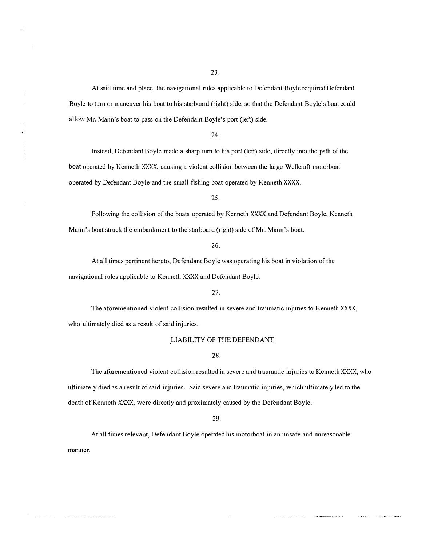At said time and place, the navigational rules applicable to Defendant Boyle required Defendant Boyle to turn or maneuver his boat to his starboard (right) side, so that the Defendant Boyle's boat could allow Mr. Mann's boat to pass on the Defendant Boyle's port (left) side.

24.

Instead, Defendant Boyle made a sharp turn to his port (left) side, directly into the path of the boat operated by Kenneth XXXX, causing a violent collision between the large Wellcraft motorboat operated by Defendant Boyle and the small fishing boat operated by Kenneth XXXX.

25.

Following the collision of the boats operated by Kenneth XXXX and Defendant Boyle, Kenneth Mann's boat struck the embankment to the starboard (right) side of Mr. Mann's boat.

26.

At all times pertinent hereto, Defendant Boyle was operating his boat in violation of the navigational rules applicable to Kenneth XXXX and Defendant Boyle.

#### 27.

The aforementioned violent collision resulted in severe and traumatic injuries to Kenneth XXXX, who ultimately died as a result of said injuries.

#### LIABILITY OF THE DEFENDANT

### 28.

The aforementioned violent collision resulted in severe and traumatic injuries to Kenneth XXXX, who ultimately died as a result of said injuries. Said severe and traumatic injuries, which ultimately led to the death of Kenneth XXXX, were directly and proximately caused by the Defendant Boyle.

29.

At all times relevant, Defendant Boyle operated his motorboat in an unsafe and unreasonable **manner.**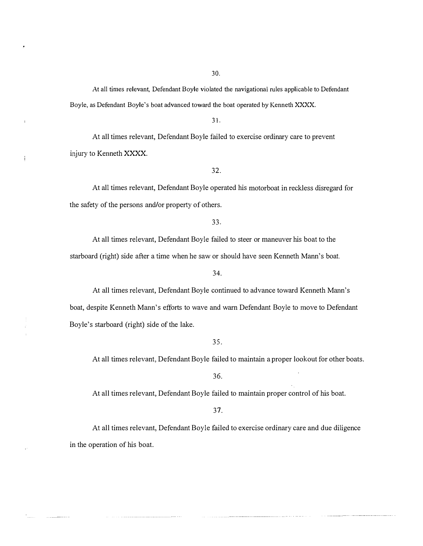At all times relevant, Defendant Boyle violated the navigational rules applicable to Defendant Boyle, as Defendant Boyle's boat advanced toward the boat operated by Kenneth XXXX.

31.

At all times relevant, Defendant Boyle failed to exercise ordinary care to prevent injury to Kenneth XXXX.

ţ

32.

At all times relevant, Defendant Boyle operated his motorboat in reckless disregard for the safety of the persons and/or property of others.

33.

At all times relevant, Defendant Boyle failed to steer or maneuver his boat to the starboard (right) side after a time when he saw or should have seen Kenneth Mann's boat.

34.

At all times relevant, Defendant Boyle continued to advance toward Kenneth Mann's boat, despite Kenneth Mann's efforts to wave and warn Defendant Boyle to move to Defendant Boyle's starboard (right) side of the lake.

35.

At all times relevant, Defendant Boyle failed to maintain a proper lookout for other boats.

36.

At all times relevant, Defendant Boyle failed to maintain proper control of his boat.

37.

At all times relevant, Defendant Boyle failed to exercise ordinary care and due diligence in the operation of his boat.

30.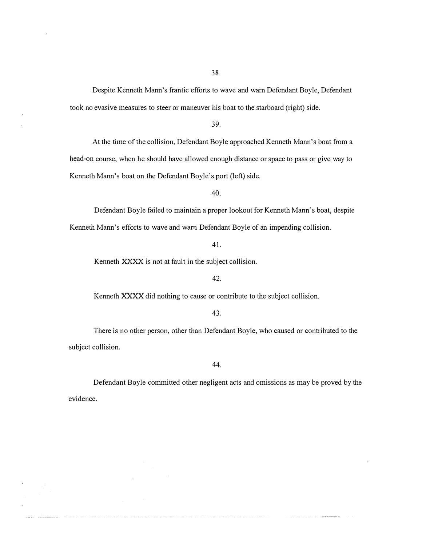Despite Kenneth Mann's frantic efforts to wave and warn Defendant Boyle, Defendant took no evasive measures to steer or maneuver his boat to the starboard (right) side.

39.

At the time of the collision, Defendant Boyle approached Kenneth Mann's boat from a head-on course, when he should have allowed enough distance or space to pass or give way to Kenneth Mann's boat on the Defendant Boyle's port (left) side.

40.

Defendant Boyle failed to maintain a proper lookout for Kenneth Mann's boat, despite Kenneth Mann's efforts to wave and warn Defendant Boyle of an impending collision.

41.

Kenneth XXXX is not at fault in the subject collision.

### 42.

Kenneth XXXX did nothing to cause or contribute to the subject collision.

43.

There is no other person, other than Defendant Boyle, who caused or contributed to the subject collision.

44.

Defendant Boyle committed other negligent acts and omissions as may be proved by the evidence.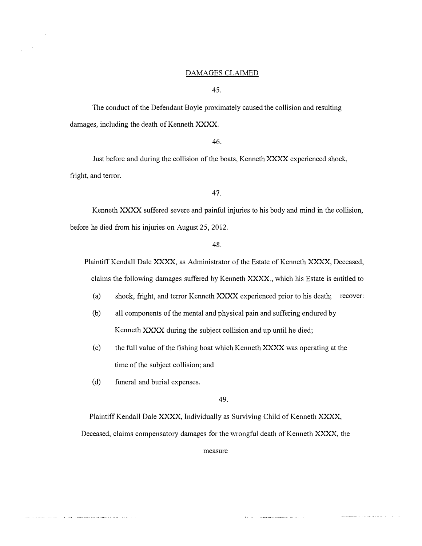## DAMAGES CLAIMED

45.

The conduct of the Defendant Boyle proximately caused the collision and resulting damages, including the death of Kenneth XXXX.

46.

Just before and during the collision of the boats, Kenneth XXXX experienced shock, fright, and terror.

47.

Kenneth XXXX suffered severe and painful injuries to his body and mind in the collision, before he died from his injuries on August 25, 2012.

48.

Plaintiff Kendall Dale XXXX, as Administrator of the Estate of Kenneth XXXX, Deceased, claims the following damages suffered by Kenneth XXXX., which his Estate is entitled to

(a) shock, fright, and terror Kenneth XXXX experienced prior to his death; recover:

- (b) all components of the mental and physical pain and suffering endured by Kenneth XXXX during the subject collision and up until he died;
- (c) the full value of the fishing boat which Kenneth XXXX was operating at the time of the subject collision; and
- (d) funeral and burial expenses.

49.

Plaintiff Kendall Dale XXXX, Individually as Surviving Child of Kenneth XXXX,

Deceased, claims compensatory damages for the wrongful death of Kenneth XXXX, the

measure